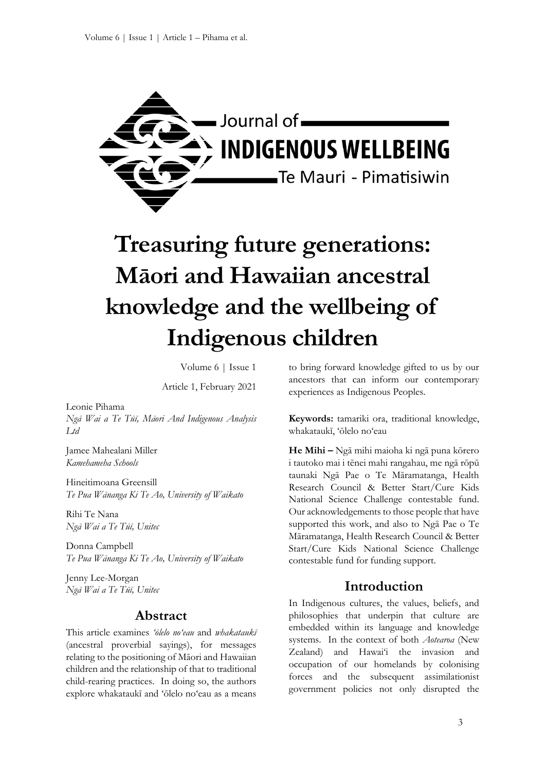

# **Treasuring future generations: Māori and Hawaiian ancestral knowledge and the wellbeing of Indigenous children**

Volume 6 | Issue 1

Article 1, February 2021

Leonie Pihama

*Ngā Wai a Te Tūī, Māori And Indigenous Analysis Ltd*

Jamee Mahealani Miller *Kamehameha Schools*

Hineitimoana Greensill *Te Pua Wānanga Ki Te Ao, University of Waikato*

Rihi Te Nana *Ngā Wai a Te Tūī, Unitec*

Donna Campbell *Te Pua Wānanga Ki Te Ao, University of Waikato*

Jenny Lee-Morgan *Ngā Wai a Te Tūī, Unitec*

## **Abstract**

This article examines *'ōlelo no'eau* and *whakataukī* (ancestral proverbial sayings), for messages relating to the positioning of Māori and Hawaiian children and the relationship of that to traditional child-rearing practices. In doing so, the authors explore whakataukī and 'ōlelo no'eau as a means to bring forward knowledge gifted to us by our ancestors that can inform our contemporary experiences as Indigenous Peoples.

**Keywords:** tamariki ora, traditional knowledge, whakataukī, 'ōlelo no'eau

**He Mihi –** Ngā mihi maioha ki ngā puna kōrero i tautoko mai i tēnei mahi rangahau, me ngā rōpū taunaki Ngā Pae o Te Māramatanga, Health Research Council & Better Start/Cure Kids National Science Challenge contestable fund. Our acknowledgements to those people that have supported this work, and also to Ngā Pae o Te Māramatanga, Health Research Council & Better Start/Cure Kids National Science Challenge contestable fund for funding support.

## **Introduction**

In Indigenous cultures, the values, beliefs, and philosophies that underpin that culture are embedded within its language and knowledge systems. In the context of both *Aotearoa* (New Zealand) and Hawai'i the invasion and occupation of our homelands by colonising forces and the subsequent assimilationist government policies not only disrupted the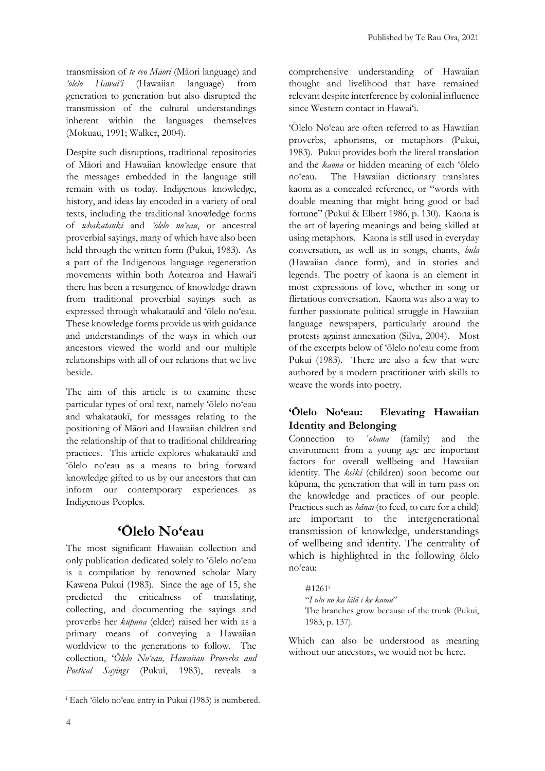transmission of *te reo Māori* (Māori language) and *'ōlelo Hawai'i* (Hawaiian language) from generation to generation but also disrupted the transmission of the cultural understandings inherent within the languages themselves (Mokuau, 1991; Walker, 2004).

Despite such disruptions, traditional repositories of Māori and Hawaiian knowledge ensure that the messages embedded in the language still remain with us today. Indigenous knowledge, history, and ideas lay encoded in a variety of oral texts, including the traditional knowledge forms of *whakataukī* and *'ōlelo no'eau*, or ancestral proverbial sayings, many of which have also been held through the written form (Pukui, 1983). As a part of the Indigenous language regeneration movements within both Aotearoa and Hawai'i there has been a resurgence of knowledge drawn from traditional proverbial sayings such as expressed through whakataukī and 'ōlelo no'eau. These knowledge forms provide us with guidance and understandings of the ways in which our ancestors viewed the world and our multiple relationships with all of our relations that we live beside.

The aim of this article is to examine these particular types of oral text, namely 'ōlelo no'eau and whakataukī, for messages relating to the positioning of Māori and Hawaiian children and the relationship of that to traditional childrearing practices. This article explores whakataukī and 'ōlelo no'eau as a means to bring forward knowledge gifted to us by our ancestors that can inform our contemporary experiences as Indigenous Peoples.

## **'Ōlelo No'eau**

The most significant Hawaiian collection and only publication dedicated solely to 'ōlelo no'eau is a compilation by renowned scholar Mary Kawena Pukui (1983). Since the age of 15, she predicted the criticalness of translating, collecting, and documenting the sayings and proverbs her *kūpuna* (elder) raised her with as a primary means of conveying a Hawaiian worldview to the generations to follow. The collection, '*Ōlelo No'eau, Hawaiian Proverbs and Poetical Sayings* (Pukui, 1983), reveals a comprehensive understanding of Hawaiian thought and livelihood that have remained relevant despite interference by colonial influence since Western contact in Hawai'i.

'Ōlelo No'eau are often referred to as Hawaiian proverbs, aphorisms, or metaphors (Pukui, 1983). Pukui provides both the literal translation and the *kaona* or hidden meaning of each 'ōlelo no'eau. The Hawaiian dictionary translates kaona as a concealed reference, or "words with double meaning that might bring good or bad fortune" (Pukui & Elbert 1986, p. 130). Kaona is the art of layering meanings and being skilled at using metaphors. Kaona is still used in everyday conversation, as well as in songs, chants, *hula* (Hawaiian dance form), and in stories and legends. The poetry of kaona is an element in most expressions of love, whether in song or flirtatious conversation. Kaona was also a way to further passionate political struggle in Hawaiian language newspapers, particularly around the protests against annexation (Silva, 2004). Most of the excerpts below of 'ōlelo no'eau come from Pukui (1983). There are also a few that were authored by a modern practitioner with skills to weave the words into poetry.

## **'Ōlelo No'eau: Elevating Hawaiian Identity and Belonging**

Connection to *ʻohana* (family) and the environment from a young age are important factors for overall wellbeing and Hawaiian identity. The *keiki* (children) soon become our kūpuna, the generation that will in turn pass on the knowledge and practices of our people. Practices such as *hānai* (to feed, to care for a child) are important to the intergenerational transmission of knowledge, understandings of wellbeing and identity. The centrality of which is highlighted in the following ōlelo no'eau:

#1261<sup>i</sup> "*I ulu no ka lālā i ke kumu*" The branches grow because of the trunk (Pukui, 1983, p. 137)*.*

Which can also be understood as meaning without our ancestors, we would not be here.

<sup>i</sup> Each 'ōlelo no'eau entry in Pukui (1983) is numbered.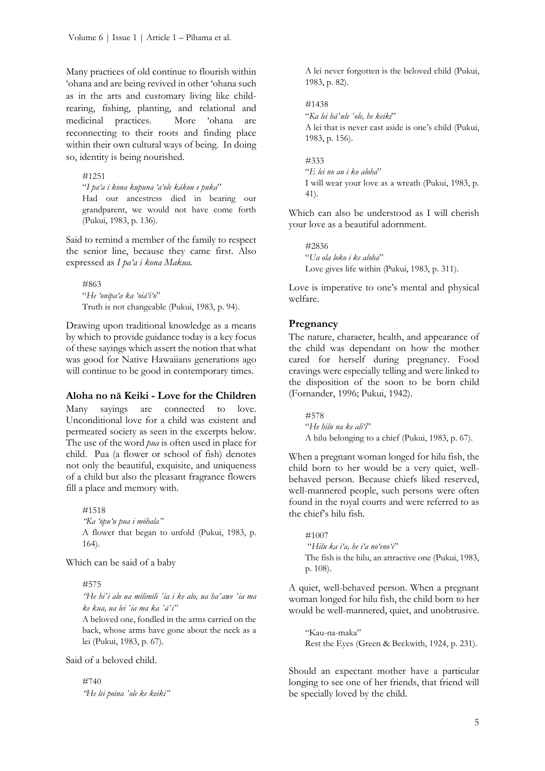Many practices of old continue to flourish within 'ohana and are being revived in other 'ohana such as in the arts and customary living like childrearing, fishing, planting, and relational and medicinal practices. More 'ohana are reconnecting to their roots and finding place within their own cultural ways of being. In doing so, identity is being nourished.

#1251

"*I pa'a i kona kupuna 'a'ole kākou e puka*" Had our ancestress died in bearing our grandparent, we would not have come forth (Pukui, 1983, p. 136).

Said to remind a member of the family to respect the senior line, because they came first. Also expressed as *I pa'a i kona Makua.*

#863 "*He 'onipa'a ka 'oiā'i'o*" Truth is not changeable (Pukui, 1983, p. 94).

Drawing upon traditional knowledge as a means by which to provide guidance today is a key focus of these sayings which assert the notion that what was good for Native Hawaiians generations ago will continue to be good in contemporary times.

#### **Aloha no nā Keiki - Love for the Children**

Many sayings are connected to love. Unconditional love for a child was existent and permeated society as seen in the excerpts below. The use of the word *pua* is often used in place for child. Pua (a flower or school of fish) denotes not only the beautiful, exquisite, and uniqueness of a child but also the pleasant fragrance flowers fill a place and memory with.

#1518 *"Ka 'ōpu'u pua i mōhala"* A flower that began to unfold (Pukui, 1983, p. 164).

Which can be said of a baby

#575

*"He hiʻi alo ua milimili ʻia i ke alo, ua haʻawe ʻia ma ke kua, ua lei ʻia ma ka ʻāʻī"*

A beloved one, fondled in the arms carried on the back, whose arms have gone about the neck as a lei (Pukui, 1983, p. 67).

Said of a beloved child.

#740 *"He lei poina ʻole ke keiki"* A lei never forgotten is the beloved child (Pukui, 1983, p. 82).

#1438 "*Ka lei hāʻule ʻole, he keiki*" A lei that is never cast aside is one's child (Pukui, 1983, p. 156).

#333 "*E lei no au i ko aloha*" I will wear your love as a wreath (Pukui, 1983, p. 41).

Which can also be understood as I will cherish your love as a beautiful adornment.

#2836 "*Ua ola loko i ke aloha*" Love gives life within (Pukui, 1983, p. 311).

Love is imperative to one's mental and physical welfare.

## **Pregnancy**

The nature, character, health, and appearance of the child was dependant on how the mother cared for herself during pregnancy. Food cravings were especially telling and were linked to the disposition of the soon to be born child (Fornander, 1996; Pukui, 1942).

#578 "*He hilu na ke ali'i*" A hilu belonging to a chief (Pukui, 1983, p. 67).

When a pregnant woman longed for hilu fish, the child born to her would be a very quiet, wellbehaved person. Because chiefs liked reserved, well-mannered people, such persons were often found in the royal courts and were referred to as the chief's hilu fish.

#1007 "*Hilu ka i'a, he i'a no'eno'e*" The fish is the hilu, an attractive one (Pukui, 1983, p. 108).

A quiet, well-behaved person. When a pregnant woman longed for hilu fish, the child born to her would be well-mannered, quiet, and unobtrusive.

"Kau-na-maka" Rest the Eyes (Green & Beckwith, 1924, p. 231).

Should an expectant mother have a particular longing to see one of her friends, that friend will be specially loved by the child.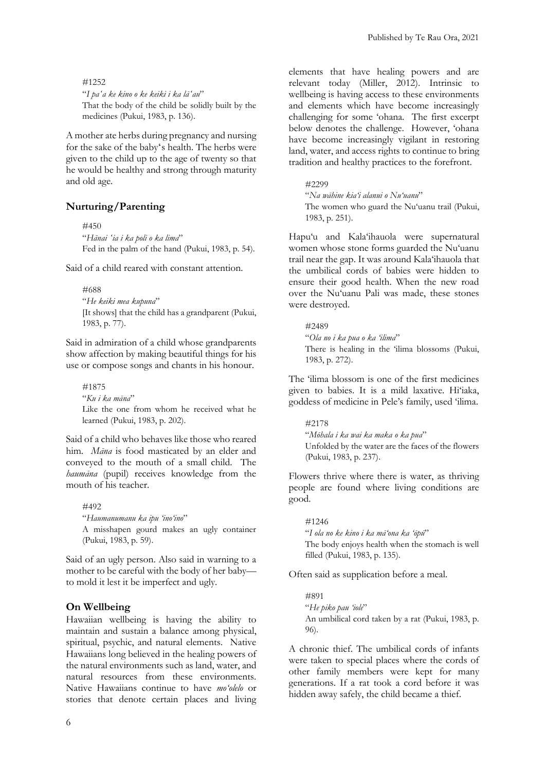#### #1252

"*I paʻa ke kino o ke keiki i ka lāʻau*" That the body of the child be solidly built by the medicines (Pukui, 1983, p. 136).

A mother ate herbs during pregnancy and nursing for the sake of the babyʻs health. The herbs were given to the child up to the age of twenty so that he would be healthy and strong through maturity and old age.

#### **Nurturing/Parenting**

#450 "*Hānai ʻia i ka poli o ka lima*" Fed in the palm of the hand (Pukui, 1983, p. 54).

Said of a child reared with constant attention.

#688 "*He keiki mea kupuna*" [It shows] that the child has a grandparent (Pukui, 1983, p. 77).

Said in admiration of a child whose grandparents show affection by making beautiful things for his use or compose songs and chants in his honour.

#1875 "*Ku i ka māna*" Like the one from whom he received what he learned (Pukui, 1983, p. 202).

Said of a child who behaves like those who reared him. *Māna* is food masticated by an elder and conveyed to the mouth of a small child. The *haumāna* (pupil) receives knowledge from the mouth of his teacher.

#492 "*Haumanumanu ka ipu 'ino'ino*" A misshapen gourd makes an ugly container (Pukui, 1983, p. 59).

Said of an ugly person. Also said in warning to a mother to be careful with the body of her baby to mold it lest it be imperfect and ugly.

#### **On Wellbeing**

Hawaiian wellbeing is having the ability to maintain and sustain a balance among physical, spiritual, psychic, and natural elements. Native Hawaiians long believed in the healing powers of the natural environments such as land, water, and natural resources from these environments. Native Hawaiians continue to have *mo'olelo* or stories that denote certain places and living elements that have healing powers and are relevant today (Miller, 2012). Intrinsic to wellbeing is having access to these environments and elements which have become increasingly challenging for some 'ohana. The first excerpt below denotes the challenge. However, 'ohana have become increasingly vigilant in restoring land, water, and access rights to continue to bring tradition and healthy practices to the forefront.

#### #2299

"*Na wāhine kia'i alanui o Nu'uanu*" The women who guard the Nu'uanu trail (Pukui, 1983, p. 251).

Hapu'u and Kala'ihauola were supernatural women whose stone forms guarded the Nu'uanu trail near the gap. It was around Kala'ihauola that the umbilical cords of babies were hidden to ensure their good health. When the new road over the Nu'uanu Pali was made, these stones were destroyed.

#2489 "*Ola no i ka pua o ka 'ilima*" There is healing in the 'ilima blossoms (Pukui, 1983, p. 272).

The 'ilima blossom is one of the first medicines given to babies. It is a mild laxative. Hi'iaka, goddess of medicine in Pele's family, used 'ilima.

#2178 "*Mōhala i ka wai ka maka o ka pua*" Unfolded by the water are the faces of the flowers (Pukui, 1983, p. 237).

Flowers thrive where there is water, as thriving people are found where living conditions are good.

#1246 "*I ola no ke kino i ka mā'ona ka 'ōpū*" The body enjoys health when the stomach is well filled (Pukui, 1983, p. 135).

Often said as supplication before a meal.

#891 "*He piko pau 'iole*" An umbilical cord taken by a rat (Pukui, 1983, p. 96).

A chronic thief. The umbilical cords of infants were taken to special places where the cords of other family members were kept for many generations. If a rat took a cord before it was hidden away safely, the child became a thief.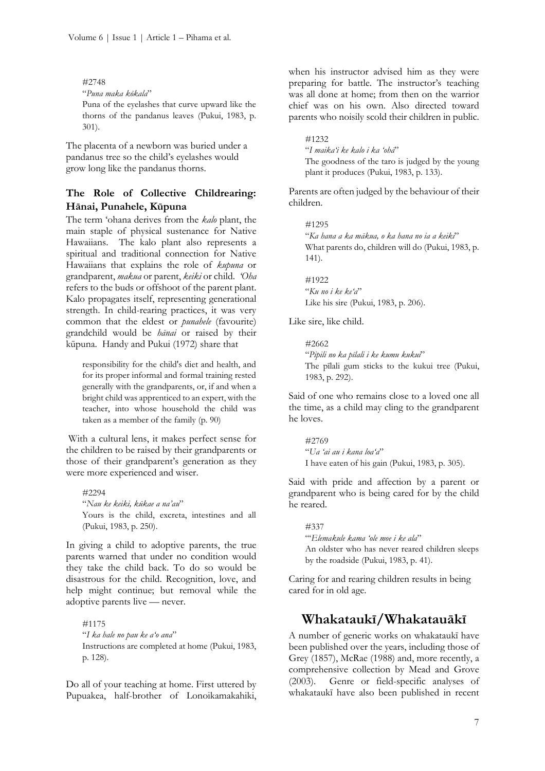#### #2748

"*Puna maka kōkala*"

Puna of the eyelashes that curve upward like the thorns of the pandanus leaves (Pukui, 1983, p. 301).

The placenta of a newborn was buried under a pandanus tree so the child's eyelashes would grow long like the pandanus thorns.

## **The Role of Collective Childrearing: Hānai, Punahele, Kūpuna**

The term 'ohana derives from the *kalo* plant, the main staple of physical sustenance for Native Hawaiians. The kalo plant also represents a spiritual and traditional connection for Native Hawaiians that explains the role of *kupuna* or grandparent, *makua* or parent, *keiki* or child. *'Oha* refers to the buds or offshoot of the parent plant. Kalo propagates itself, representing generational strength. In child-rearing practices, it was very common that the eldest or *punahele* (favourite) grandchild would be *hānai* or raised by their kūpuna. Handy and Pukui (1972) share that

responsibility for the child's diet and health, and for its proper informal and formal training rested generally with the grandparents, or, if and when a bright child was apprenticed to an expert, with the teacher, into whose household the child was taken as a member of the family (p. 90)

With a cultural lens, it makes perfect sense for the children to be raised by their grandparents or those of their grandparent's generation as they were more experienced and wiser.

#2294 "*Nau ke keiki, kūkae a na'au*" Yours is the child, excreta, intestines and all (Pukui, 1983, p. 250).

In giving a child to adoptive parents, the true parents warned that under no condition would they take the child back. To do so would be disastrous for the child. Recognition, love, and help might continue; but removal while the adoptive parents live — never.

#1175 "*I ka hale no pau ke a'o ana*" Instructions are completed at home (Pukui, 1983, p. 128).

Do all of your teaching at home. First uttered by Pupuakea, half-brother of Lonoikamakahiki,

when his instructor advised him as they were preparing for battle. The instructor's teaching was all done at home; from then on the warrior chief was on his own. Also directed toward parents who noisily scold their children in public.

#1232

"*I maika'i ke kalo i ka 'ohā*" The goodness of the taro is judged by the young plant it produces (Pukui, 1983, p. 133).

Parents are often judged by the behaviour of their children.

#1295 "*Ka hana a ka mākua, o ka hana no ia a keiki*" What parents do, children will do (Pukui, 1983, p. 141).

#1922 "*Ku no i ke ke'a*" Like his sire (Pukui, 1983, p. 206).

Like sire, like child.

#2662 "*Pipili no ka pīlali i ke kumu kukui*" The pīlali gum sticks to the kukui tree (Pukui, 1983, p. 292).

Said of one who remains close to a loved one all the time, as a child may cling to the grandparent he loves.

#2769 "*Ua 'ai au i kana loa'a*" I have eaten of his gain (Pukui, 1983, p. 305).

Said with pride and affection by a parent or grandparent who is being cared for by the child he reared.

#337 "'*Elemakule kama 'ole moe i ke ala*" An oldster who has never reared children sleeps by the roadside (Pukui, 1983, p. 41).

Caring for and rearing children results in being cared for in old age.

## **Whakataukī/Whakatauākī**

A number of generic works on whakataukī have been published over the years, including those of Grey (1857), McRae (1988) and, more recently, a comprehensive collection by Mead and Grove (2003). Genre or field-specific analyses of whakataukī have also been published in recent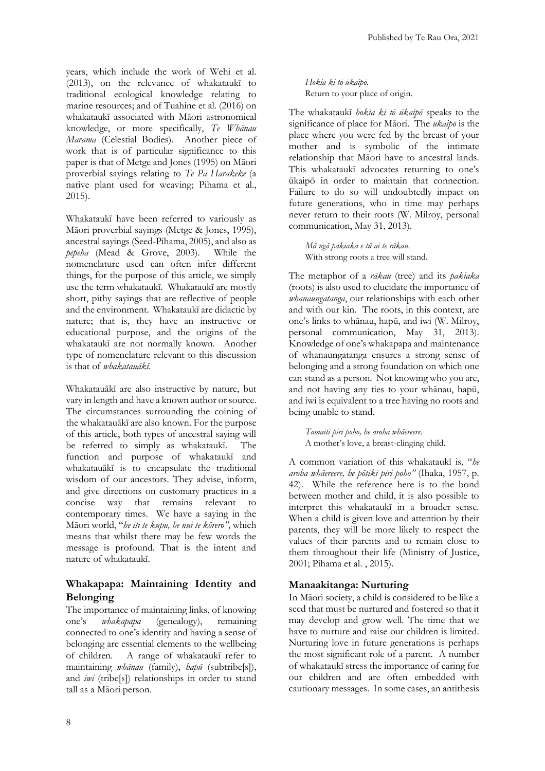years, which include the work of Wehi et al. (2013), on the relevance of whakataukī to traditional ecological knowledge relating to marine resources; and of Tuahine et al. (2016) on whakataukī associated with Māori astronomical knowledge, or more specifically, *Te Whānau Mārama* (Celestial Bodies). Another piece of work that is of particular significance to this paper is that of Metge and Jones (1995) on Māori proverbial sayings relating to *Te Pā Harakeke* (a native plant used for weaving; Pihama et al., 2015).

Whakataukī have been referred to variously as Māori proverbial sayings (Metge & Jones, 1995), ancestral sayings (Seed-Pihama, 2005), and also as *pēpeha* (Mead & Grove, 2003). While the nomenclature used can often infer different things, for the purpose of this article, we simply use the term whakataukī. Whakataukī are mostly short, pithy sayings that are reflective of people and the environment. Whakataukī are didactic by nature; that is, they have an instructive or educational purpose, and the origins of the whakataukī are not normally known. Another type of nomenclature relevant to this discussion is that of *whakatauākī*.

Whakatauākī are also instructive by nature, but vary in length and have a known author or source. The circumstances surrounding the coining of the whakatauākī are also known. For the purpose of this article, both types of ancestral saying will be referred to simply as whakataukī. The function and purpose of whakataukī and whakatauākī is to encapsulate the traditional wisdom of our ancestors. They advise, inform, and give directions on customary practices in a concise way that remains relevant to contemporary times. We have a saying in the Māori world, "*he iti te kupu, he nui te kōrero"*, which means that whilst there may be few words the message is profound. That is the intent and nature of whakataukī.

## **Whakapapa: Maintaining Identity and Belonging**

The importance of maintaining links, of knowing one's *whakapapa* (genealogy), remaining connected to one's identity and having a sense of belonging are essential elements to the wellbeing of children. A range of whakataukī refer to maintaining *whānau* (family), *hapū* (subtribe[s]), and *iwi* (tribe[s]) relationships in order to stand tall as a Māori person.

*Hokia ki tō ūkaipō.* Return to your place of origin.

The whakataukī *hokia ki tō ūkaipō* speaks to the significance of place for Māori. The *ūkaipō* is the place where you were fed by the breast of your mother and is symbolic of the intimate relationship that Māori have to ancestral lands. This whakataukī advocates returning to one's ūkaipō in order to maintain that connection. Failure to do so will undoubtedly impact on future generations, who in time may perhaps never return to their roots (W. Milroy, personal communication, May 31, 2013).

*Mā ngā pakiaka e tū ai te rākau.* With strong roots a tree will stand.

The metaphor of a *rākau* (tree) and its *pakiaka* (roots) is also used to elucidate the importance of *whanaungatanga*, our relationships with each other and with our kin. The roots, in this context, are one's links to whānau, hapū, and iwi (W. Milroy, personal communication, May 31, 2013). Knowledge of one's whakapapa and maintenance of whanaungatanga ensures a strong sense of belonging and a strong foundation on which one can stand as a person. Not knowing who you are, and not having any ties to your whānau, hapū, and iwi is equivalent to a tree having no roots and being unable to stand.

*Tamaiti piri poho, he aroha whāereere.*  A mother's love, a breast-clinging child.

A common variation of this whakataukī is, "*he aroha whāereere, he pōtiki piri poho"* (Ihaka, 1957, p. 42). While the reference here is to the bond between mother and child, it is also possible to interpret this whakataukī in a broader sense. When a child is given love and attention by their parents, they will be more likely to respect the values of their parents and to remain close to them throughout their life (Ministry of Justice, 2001; Pihama et al. , 2015).

## **Manaakitanga: Nurturing**

In Māori society, a child is considered to be like a seed that must be nurtured and fostered so that it may develop and grow well. The time that we have to nurture and raise our children is limited. Nurturing love in future generations is perhaps the most significant role of a parent. A number of whakataukī stress the importance of caring for our children and are often embedded with cautionary messages. In some cases, an antithesis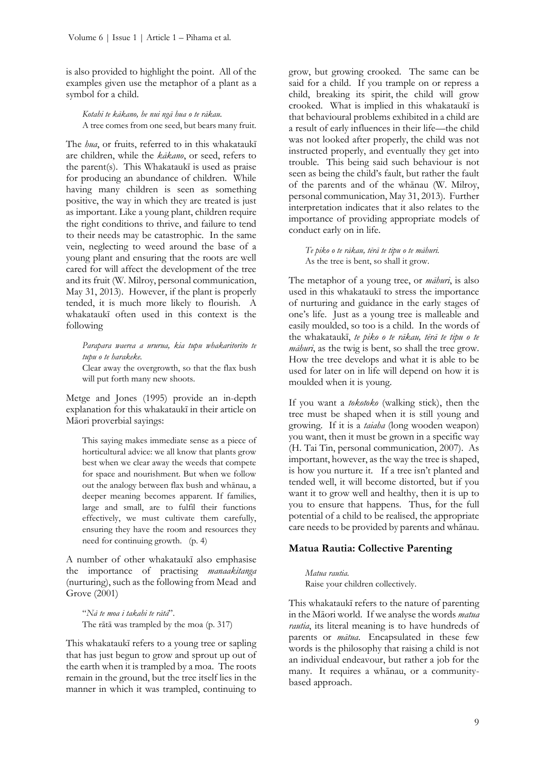is also provided to highlight the point. All of the examples given use the metaphor of a plant as a symbol for a child.

*Kotahi te kākano, he nui ngā hua o te rākau.* A tree comes from one seed, but bears many fruit.

The *hua*, or fruits, referred to in this whakataukī are children, while the *kākano*, or seed, refers to the parent(s). This Whakataukī is used as praise for producing an abundance of children. While having many children is seen as something positive, the way in which they are treated is just as important. Like a young plant, children require the right conditions to thrive, and failure to tend to their needs may be catastrophic. In the same vein, neglecting to weed around the base of a young plant and ensuring that the roots are well cared for will affect the development of the tree and its fruit (W. Milroy, personal communication, May 31, 2013). However, if the plant is properly tended, it is much more likely to flourish. A whakataukī often used in this context is the following

*Parapara waerea a ururua, kia tupu whakaritorito te tupu o te harakeke.*

Clear away the overgrowth, so that the flax bush will put forth many new shoots.

Metge and Jones (1995) provide an in-depth explanation for this whakataukī in their article on Māori proverbial sayings:

This saying makes immediate sense as a piece of horticultural advice: we all know that plants grow best when we clear away the weeds that compete for space and nourishment. But when we follow out the analogy between flax bush and whānau, a deeper meaning becomes apparent. If families, large and small, are to fulfil their functions effectively, we must cultivate them carefully, ensuring they have the room and resources they need for continuing growth. (p. 4)

A number of other whakataukī also emphasise the importance of practising *manaakitanga*  (nurturing), such as the following from Mead and Grove (2001)

"*Nā te moa i takahi te rātā*". The rātā was trampled by the moa (p. 317)

This whakataukī refers to a young tree or sapling that has just begun to grow and sprout up out of the earth when it is trampled by a moa. The roots remain in the ground, but the tree itself lies in the manner in which it was trampled, continuing to grow, but growing crooked. The same can be said for a child. If you trample on or repress a child, breaking its spirit, the child will grow crooked. What is implied in this whakataukī is that behavioural problems exhibited in a child are a result of early influences in their life—the child was not looked after properly, the child was not instructed properly, and eventually they get into trouble. This being said such behaviour is not seen as being the child's fault, but rather the fault of the parents and of the whānau (W. Milroy, personal communication, May 31, 2013). Further interpretation indicates that it also relates to the importance of providing appropriate models of conduct early on in life.

*Te piko o te rākau, tērā te tipu o te māhuri.* As the tree is bent, so shall it grow.

The metaphor of a young tree, or *māhuri*, is also used in this whakataukī to stress the importance of nurturing and guidance in the early stages of one's life. Just as a young tree is malleable and easily moulded, so too is a child. In the words of the whakataukī, *te piko o te rākau, tērā te tipu o te māhuri*, as the twig is bent, so shall the tree grow. How the tree develops and what it is able to be used for later on in life will depend on how it is moulded when it is young.

If you want a *tokotoko* (walking stick), then the tree must be shaped when it is still young and growing. If it is a *taiaha* (long wooden weapon) you want, then it must be grown in a specific way (H. Tai Tin, personal communication, 2007). As important, however, as the way the tree is shaped, is how you nurture it. If a tree isn't planted and tended well, it will become distorted, but if you want it to grow well and healthy, then it is up to you to ensure that happens. Thus, for the full potential of a child to be realised, the appropriate care needs to be provided by parents and whānau.

#### **Matua Rautia: Collective Parenting**

*Matua rautia.* Raise your children collectively.

This whakataukī refers to the nature of parenting in the Māori world. If we analyse the words *matua rautia*, its literal meaning is to have hundreds of parents or *mātua*. Encapsulated in these few words is the philosophy that raising a child is not an individual endeavour, but rather a job for the many. It requires a whānau, or a communitybased approach.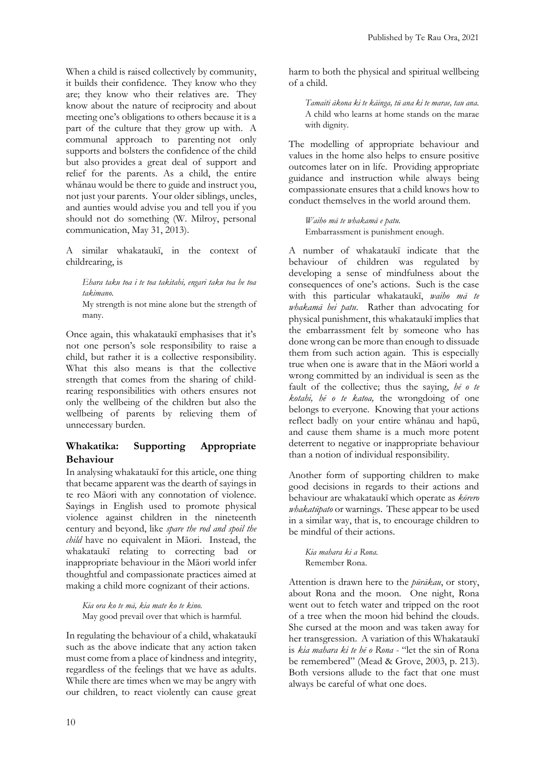When a child is raised collectively by community, it builds their confidence. They know who they are; they know who their relatives are. They know about the nature of reciprocity and about meeting one's obligations to others because it is a part of the culture that they grow up with. A communal approach to parenting not only supports and bolsters the confidence of the child but also provides a great deal of support and relief for the parents. As a child, the entire whānau would be there to guide and instruct you, not just your parents. Your older siblings, uncles, and aunties would advise you and tell you if you should not do something (W. Milroy, personal communication, May 31, 2013).

A similar whakataukī, in the context of childrearing, is

*Ehara taku toa i te toa takitahi, engari taku toa he toa takimano.*

My strength is not mine alone but the strength of many.

Once again, this whakataukī emphasises that it's not one person's sole responsibility to raise a child, but rather it is a collective responsibility. What this also means is that the collective strength that comes from the sharing of childrearing responsibilities with others ensures not only the wellbeing of the children but also the wellbeing of parents by relieving them of unnecessary burden.

## **Whakatika: Supporting Appropriate Behaviour**

In analysing whakataukī for this article, one thing that became apparent was the dearth of sayings in te reo Māori with any connotation of violence. Sayings in English used to promote physical violence against children in the nineteenth century and beyond, like *spare the rod and spoil the child* have no equivalent in Māori. Instead, the whakataukī relating to correcting bad or inappropriate behaviour in the Māori world infer thoughtful and compassionate practices aimed at making a child more cognizant of their actions.

*Kia ora ko te mā, kia mate ko te kino.* May good prevail over that which is harmful.

In regulating the behaviour of a child, whakataukī such as the above indicate that any action taken must come from a place of kindness and integrity, regardless of the feelings that we have as adults. While there are times when we may be angry with our children, to react violently can cause great harm to both the physical and spiritual wellbeing of a child.

*Tamaiti ākona ki te kāinga, tū ana ki te marae, tau ana.* A child who learns at home stands on the marae with dignity.

The modelling of appropriate behaviour and values in the home also helps to ensure positive outcomes later on in life. Providing appropriate guidance and instruction while always being compassionate ensures that a child knows how to conduct themselves in the world around them.

*Waiho mā te whakamā e patu.* Embarrassment is punishment enough.

A number of whakataukī indicate that the behaviour of children was regulated by developing a sense of mindfulness about the consequences of one's actions. Such is the case with this particular whakataukī, *waiho mā te whakamā hei patu*. Rather than advocating for physical punishment, this whakataukī implies that the embarrassment felt by someone who has done wrong can be more than enough to dissuade them from such action again. This is especially true when one is aware that in the Māori world a wrong committed by an individual is seen as the fault of the collective; thus the saying, *hē o te kotahi, hē o te katoa,* the wrongdoing of one belongs to everyone. Knowing that your actions reflect badly on your entire whānau and hapū, and cause them shame is a much more potent deterrent to negative or inappropriate behaviour than a notion of individual responsibility.

Another form of supporting children to make good decisions in regards to their actions and behaviour are whakataukī which operate as *kōrero whakatūpato* or warnings. These appear to be used in a similar way, that is, to encourage children to be mindful of their actions.

*Kia mahara ki a Rona.* Remember Rona.

Attention is drawn here to the *pūrākau*, or story, about Rona and the moon. One night, Rona went out to fetch water and tripped on the root of a tree when the moon hid behind the clouds. She cursed at the moon and was taken away for her transgression. A variation of this Whakataukī is *kia mahara ki te hē o Rona* - "let the sin of Rona be remembered" (Mead & Grove, 2003, p. 213). Both versions allude to the fact that one must always be careful of what one does.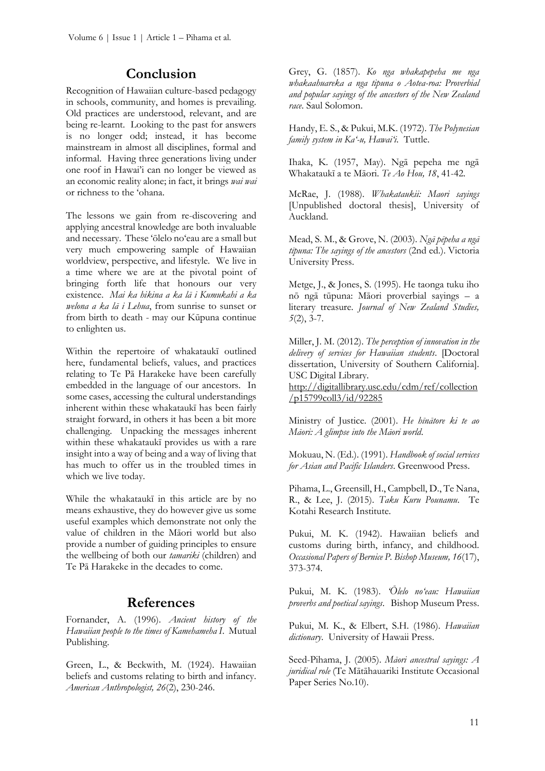## **Conclusion**

Recognition of Hawaiian culture-based pedagogy in schools, community, and homes is prevailing. Old practices are understood, relevant, and are being re-learnt. Looking to the past for answers is no longer odd; instead, it has become mainstream in almost all disciplines, formal and informal. Having three generations living under one roof in Hawai'i can no longer be viewed as an economic reality alone; in fact, it brings *wai wai* or richness to the 'ohana.

The lessons we gain from re-discovering and applying ancestral knowledge are both invaluable and necessary. These 'ōlelo no'eau are a small but very much empowering sample of Hawaiian worldview, perspective, and lifestyle. We live in a time where we are at the pivotal point of bringing forth life that honours our very existence. *Mai ka hikina a ka lā i Kumukahi a ka welona a ka lā i Lehua*, from sunrise to sunset or from birth to death - may our Kūpuna continue to enlighten us.

Within the repertoire of whakataukī outlined here, fundamental beliefs, values, and practices relating to Te Pā Harakeke have been carefully embedded in the language of our ancestors. In some cases, accessing the cultural understandings inherent within these whakataukī has been fairly straight forward, in others it has been a bit more challenging. Unpacking the messages inherent within these whakataukī provides us with a rare insight into a way of being and a way of living that has much to offer us in the troubled times in which we live today.

While the whakataukī in this article are by no means exhaustive, they do however give us some useful examples which demonstrate not only the value of children in the Māori world but also provide a number of guiding principles to ensure the wellbeing of both our *tamariki* (children) and Te Pā Harakeke in the decades to come.

## **References**

Fornander, A. (1996). *Ancient history of the Hawaiian people to the times of Kamehameha I*. Mutual Publishing.

Green, L., & Beckwith, M. (1924). Hawaiian beliefs and customs relating to birth and infancy. *American Anthropologist, 26*(2), 230-246.

Grey, G. (1857). *Ko nga whakapepeha me nga whakaahuareka a nga tipuna o Aotea-roa: Proverbial and popular sayings of the ancestors of the New Zealand race*. Saul Solomon.

Handy, E. S., & Pukui, M.K. (1972). *The Polynesian family system in Ka'-u, Hawai'i*. Tuttle.

Ihaka, K. (1957, May). Ngā pepeha me ngā Whakataukī a te Māori. *Te Ao Hou, 18*, 41-42.

McRae, J. (1988). *Whakataukii: Maori sayings* [Unpublished doctoral thesis], University of Auckland.

Mead, S. M., & Grove, N. (2003). *Ngā pēpeha a ngā tīpuna: The sayings of the ancestors* (2nd ed.). Victoria University Press.

Metge, J., & Jones, S. (1995). He taonga tuku iho nō ngā tūpuna: Māori proverbial sayings – a literary treasure. *Journal of New Zealand Studies, 5*(2), 3-7.

Miller, J. M. (2012). *The perception of innovation in the delivery of services for Hawaiian students*. [Doctoral dissertation, University of Southern California]. USC Digital Library.

[http://digitallibrary.usc.edu/cdm/ref/collection](http://digitallibrary.usc.edu/cdm/ref/collection/p15799coll3/id/92285) [/p15799coll3/id/92285](http://digitallibrary.usc.edu/cdm/ref/collection/p15799coll3/id/92285)

Ministry of Justice. (2001). *He hīnātore ki te ao Māori: A glimpse into the Māori world*.

Mokuau, N. (Ed.). (1991). *Handbook of social services for Asian and Pacific Islanders*. Greenwood Press.

Pihama, L., Greensill, H., Campbell, D., Te Nana, R., & Lee, J. (2015). *Taku Kuru Pounamu*. Te Kotahi Research Institute.

Pukui, M. K. (1942). Hawaiian beliefs and customs during birth, infancy, and childhood. *Occasional Papers of Bernice P. Bishop Museum, 16*(17), 373-374.

Pukui, M. K. (1983). *'Ōlelo no'eau: Hawaiian proverbs and poetical sayings*. Bishop Museum Press.

Pukui, M. K., & Elbert, S.H. (1986). *Hawaiian dictionary*. University of Hawaii Press.

Seed-Pihama, J. (2005). *Māori ancestral sayings: A juridical role* (Te Mātāhauariki Institute Occasional Paper Series No.10).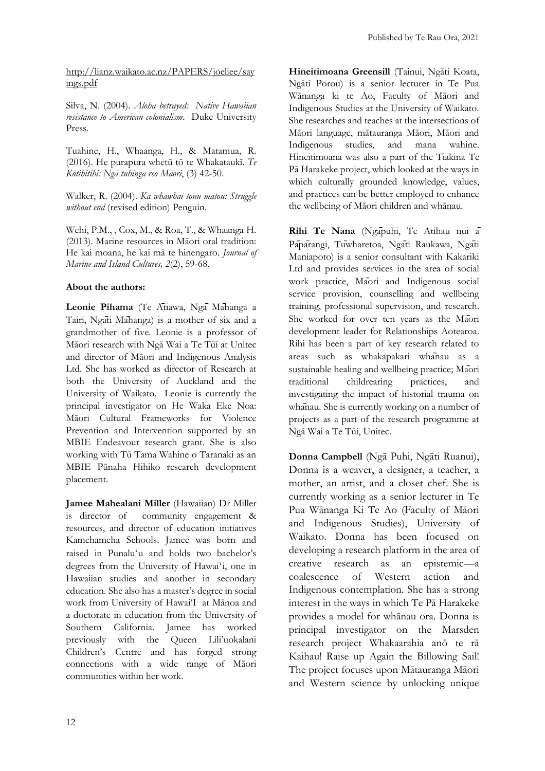[http://lianz.waikato.ac.nz/PAPERS/joeliee/say](http://lianz.waikato.ac.nz/PAPERS/joeliee/sayings.pdf) [ings.pdf](http://lianz.waikato.ac.nz/PAPERS/joeliee/sayings.pdf)

Silva, N. (2004). *Aloha betrayed: Native Hawaiian resistance to American colonialism*. Duke University Press.

Tuahine, H., Whaanga, H., & Matamua, R. (2016). He purapura whetū tō te Whakataukī. *Te Kōtihitihi: Ngā tuhinga reo Māori*, (3) 42-50.

Walker, R. (2004). *Ka whawhai tonu matou: Struggle without end* (revised edition) Penguin.

Wehi, P.M., , Cox, M., & Roa, T., & Whaanga H. (2013). Marine resources in Māori oral tradition: He kai moana, he kai mā te hinengaro. *Journal of Marine and Island Cultures, 2*(2), 59-68.

## **About the authors:**

**Leonie Pihama** (Te Ātiawa, Ngā Māhanga a Tairi, Ngāti Māhanga) is a mother of six and a grandmother of five. Leonie is a professor of Māori research with Ngā Wai a Te Tūī at Unitec and director of Māori and Indigenous Analysis Ltd. She has worked as director of Research at both the University of Auckland and the University of Waikato. Leonie is currently the principal investigator on He Waka Eke Noa: Māori Cultural Frameworks for Violence Prevention and Intervention supported by an MBIE Endeavour research grant. She is also working with Tū Tama Wahine o Taranaki as an MBIE Pūnaha Hihiko research development placement.

**Jamee Mahealani Miller** (Hawaiian) Dr Miller is director of community engagement & resources, and director of education initiatives Kamehameha Schools. Jamee was born and raised in Punaluʻu and holds two bachelor's degrees from the University of Hawaiʻi, one in Hawaiian studies and another in secondary education. She also has a master's degree in social work from University of Hawai'I at Mānoa and a doctorate in education from the University of Southern California. Jamee has worked previously with the Queen Lili'uokalani Children's Centre and has forged strong connections with a wide range of Māori communities within her work.

**Hineitimoana Greensill** (Tainui, Ngāti Koata, Ngāti Porou) is a senior lecturer in Te Pua Wānanga ki te Ao, Faculty of Māori and Indigenous Studies at the University of Waikato. She researches and teaches at the intersections of Māori language, mātauranga Māori, Māori and Indigenous studies, and mana wahine. Hineitimoana was also a part of the Tiakina Te Pā Harakeke project, which looked at the ways in which culturally grounded knowledge, values, and practices can be better employed to enhance the wellbeing of Māori children and whānau.

**Rihi Te Nana** (Ngāpuhi, Te Atihau nui ā Pāpārangi, Tūwharetoa, Ngāti Raukawa, Ngāti Maniapoto) is a senior consultant with Kakariki Ltd and provides services in the area of social work practice, Māori and Indigenous social service provision, counselling and wellbeing training, professional supervision, and research. She worked for over ten years as the Maori development leader for Relationships Aotearoa. Rihi has been a part of key research related to areas such as whakapakari whānau as a sustainable healing and wellbeing practice; Māori traditional childrearing practices, and investigating the impact of historial trauma on whañau. She is currently working on a number of projects as a part of the research programme at Ngā Wai a Te Tūi, Unitec.

**Donna Campbell** (Ngā Puhi, Ngāti Ruanui), Donna is a weaver, a designer, a teacher, a mother, an artist, and a closet chef. She is currently working as a senior lecturer in Te Pua Wānanga Ki Te Ao (Faculty of Māori and Indigenous Studies), University of Waikato. Donna has been focused on developing a research platform in the area of creative research as an epistemic—a coalescence of Western action and Indigenous contemplation. She has a strong interest in the ways in which Te Pā Harakeke provides a model for whānau ora. Donna is principal investigator on the Marsden research project Whakaarahia anō te rā Kaihau! Raise up Again the Billowing Sail! The project focuses upon Mātauranga Māori and Western science by unlocking unique